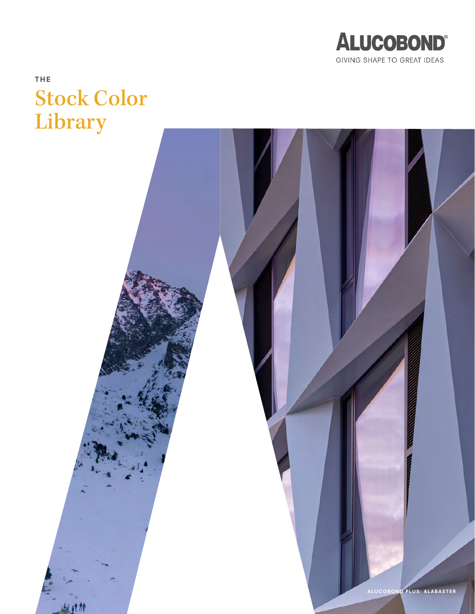

# THE Stock Color Library

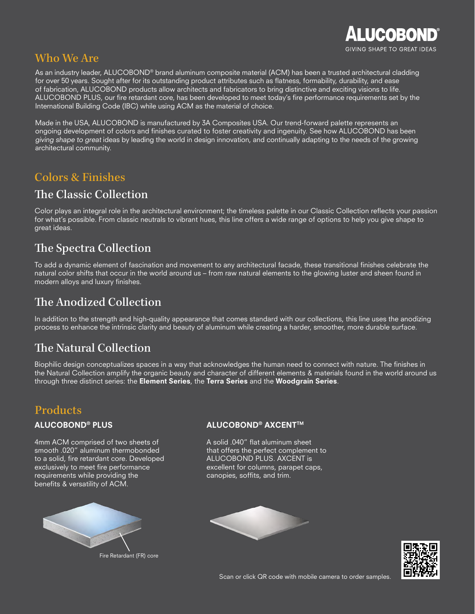

### Who We Are

As an industry leader, ALUCOBOND® brand aluminum composite material (ACM) has been a trusted architectural cladding for over 50 years. Sought after for its outstanding product attributes such as flatness, formability, durability, and ease of fabrication, ALUCOBOND products allow architects and fabricators to bring distinctive and exciting visions to life. ALUCOBOND PLUS, our fire retardant core, has been developed to meet today's fire performance requirements set by the International Building Code (IBC) while using ACM as the material of choice.

Made in the USA, ALUCOBOND is manufactured by 3A Composites USA. Our trend-forward palette represents an ongoing development of colors and finishes curated to foster creativity and ingenuity. See how ALUCOBOND has been giving shape to great ideas by leading the world in design innovation, and continually adapting to the needs of the growing architectural community.

### Colors & Finishes

### The Classic Collection

Color plays an integral role in the architectural environment; the timeless palette in our Classic Collection reflects your passion for what's possible. From classic neutrals to vibrant hues, this line offers a wide range of options to help you give shape to great ideas.

# The Spectra Collection

To add a dynamic element of fascination and movement to any architectural facade, these transitional finishes celebrate the natural color shifts that occur in the world around us – from raw natural elements to the glowing luster and sheen found in modern alloys and luxury finishes.

### The Anodized Collection

In addition to the strength and high-quality appearance that comes standard with our collections, this line uses the anodizing process to enhance the intrinsic clarity and beauty of aluminum while creating a harder, smoother, more durable surface.

### The Natural Collection

Biophilic design conceptualizes spaces in a way that acknowledges the human need to connect with nature. The finishes in the Natural Collection amplify the organic beauty and character of different elements & materials found in the world around us through three distinct series: the Element Series, the Terra Series and the Woodgrain Series.

### **Products**

#### ALUCOBOND® PLUS

4mm ACM comprised of two sheets of smooth .020" aluminum thermobonded to a solid, fire retardant core. Developed exclusively to meet fire performance requirements while providing the benefits & versatility of ACM.



Fire Retardant (FR) core

#### ALUCOBOND® AXCENT™

A solid .040" flat aluminum sheet that offers the perfect complement to ALUCOBOND PLUS. AXCENT is excellent for columns, parapet caps, canopies, soffits, and trim.





Scan or click QR code with mobile camera to order samples.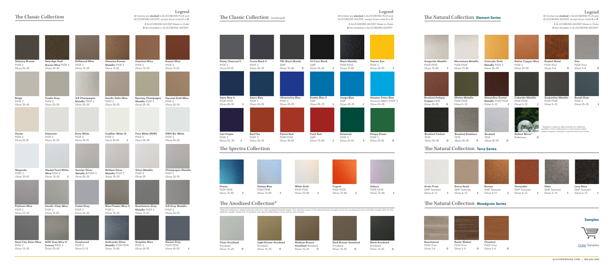# The Classic Collection

| <b>Statuary Bronze</b><br>PVDF <sub>2</sub><br>Gloss 25-35        | <b>New-Age Dark</b><br><b>Bronze Mica PVDF 2</b><br>Gloss 20-30     | <b>Driftwood Mica</b><br>PVDF <sub>2</sub><br>Gloss 15-25  | <b>Atacama Bronze</b><br>Metallic PVDF 2<br><b>Gloss 15-25</b>     | <b>Hazelnut Mica</b><br>PVDF <sub>2</sub><br>Gloss 15-25        | <b>Russet Mica</b><br>PVDF <sub>2</sub><br><b>Gloss 15-25</b> |
|-------------------------------------------------------------------|---------------------------------------------------------------------|------------------------------------------------------------|--------------------------------------------------------------------|-----------------------------------------------------------------|---------------------------------------------------------------|
|                                                                   |                                                                     |                                                            |                                                                    |                                                                 |                                                               |
| <b>Beige</b><br>PVDF <sub>2</sub><br>Gloss 35-45                  | <b>Castle Gray</b><br>PVDF <sub>2</sub><br>Gloss 25-35              | <b>JLR Champagne</b><br>Metallic PVDF 2<br>Gloss 20-30     | <b>Anodic Satin Mica</b><br>PVDF <sub>2</sub><br>Gloss 20-30       | <b>Epernay Champagne</b><br>Metallic PVDF 3<br>Gloss 25-35      | <b>Harvest Gold Mica</b><br>PVDF <sub>2</sub><br>Gloss 20-30  |
|                                                                   |                                                                     |                                                            |                                                                    |                                                                 |                                                               |
| Oyster<br>PVDF <sub>2</sub><br>Gloss 20-30                        | <b>Alabaster</b><br>PVDF <sub>2</sub><br>Gloss 25-35                | <b>Bone White</b><br>PVDF <sub>2</sub><br>Gloss 25-35      | <b>Cadillac White III</b><br>PVDF <sub>2</sub><br>Gloss 30-40<br>♦ | Pure White (RVW)<br>PVDF <sub>2</sub><br>Gloss 45-55            | <b>HWH Bio White</b><br>PVDF <sub>2</sub><br>Gloss 40-50      |
|                                                                   |                                                                     |                                                            |                                                                    |                                                                 |                                                               |
| Magnolia<br>PVDF <sub>2</sub><br>Gloss 30-40                      | <b>Market Pearl White</b><br>Mica PVDF 2<br>Gloss 15-25<br>♦        | <b>Sunrise Silver</b><br>Metallic II PVDF 3<br>Gloss 25-35 | <b>Brilliant Silver</b><br>Metallic PVDF 3<br>Gloss 25-35          | <b>Silver Metallic</b><br>PVDF <sub>3</sub><br>Gloss 25         | <b>Champagne Metallic</b><br>PVDF <sub>2</sub><br>Gloss 25-35 |
|                                                                   |                                                                     |                                                            |                                                                    |                                                                 |                                                               |
| <b>Platinum Mica</b><br>PVDF <sub>2</sub><br>Gloss 15-25          | <b>Anodic Clear Mica</b><br>PVDF <sub>2</sub><br><b>Gloss 15-25</b> | <b>Cadet Gray</b><br>PVDF <sub>2</sub><br>Gloss 20-30      | <b>West Pewter Mica II</b><br>PVDF <sub>2</sub><br>Gloss 15-25     | <b>Beachstone Gray</b><br>Metallic PVDF 2<br><b>Gloss 15-25</b> | <b>JLR Gray Metallic</b><br>PVDF <sub>2</sub><br>Gloss 25-35  |
|                                                                   |                                                                     |                                                            |                                                                    |                                                                 |                                                               |
| <b>Steel City Silver Mica</b><br>PVDF <sub>2</sub><br>Gloss 15-25 | <b>MZG Gray Mica II</b><br>(Lexus) PVDF 2<br>Gloss 30-40            | Greyhound<br>PVDF <sub>2</sub><br>Gloss 5-15               | <b>Anthracite Silver</b><br>Metallic PVDF/FEVE<br>Gloss 70-80      | <b>Graphite Mica</b><br>PVDF <sub>2</sub><br>Gloss 20-30        | <b>Nissan Gray</b><br>PVDF/FEVE<br>Gloss 45-55<br>$\Diamond$  |

# The Classic Collection (continued)

| <b>Dusty Charcoal II</b><br>PVDF <sub>2</sub><br>Gloss 25-35 | <b>Focus Black II</b><br>PVDF <sub>2</sub><br>Gloss 25-35 | <b>TBL Black (Buick)</b><br><b>SMP</b><br>Gloss 70-80<br>Ω  | <b>Tri-Corn Black</b><br><b>SMP</b>                |                 | <b>Black Metallic</b><br>PVDF/FEVE    |            | <b>Tuscan Sun</b>                                              |
|--------------------------------------------------------------|-----------------------------------------------------------|-------------------------------------------------------------|----------------------------------------------------|-----------------|---------------------------------------|------------|----------------------------------------------------------------|
|                                                              |                                                           |                                                             |                                                    |                 |                                       |            | PVDF <sub>2</sub>                                              |
|                                                              |                                                           |                                                             | Gloss 25-35                                        | ♦               | Gloss 75-85                           |            | Gloss 25-35                                                    |
|                                                              |                                                           |                                                             |                                                    |                 |                                       |            |                                                                |
| Spire Blue II<br>PVDF/FEVE<br>Gloss 25-35<br>♦               | <b>Azure Blue</b><br>PVDF <sub>3</sub><br>Gloss 25-35     | <b>Ultramarine Blue</b><br>PVDF <sub>2</sub><br>Gloss 25-35 | <b>Bowtie Blue II</b><br><b>SMP</b><br>Gloss 65-75 | <b>SMP</b><br>♦ | <b>Image Blue</b><br>Gloss 25-35      | ♦          | <b>Amazon Prime Blue</b><br>(Pantone 2995C) PVD<br>Gloss 25-35 |
|                                                              |                                                           |                                                             |                                                    |                 |                                       |            |                                                                |
| <b>Just Purple</b><br>PVDF <sub>3</sub>                      | <b>Red Fire</b><br>PVDF <sub>3</sub>                      | <b>Patriot Red</b><br>PVDF/FEVE                             | Carb Red<br><b>SMP</b>                             |                 | <b>Botanical</b><br>PVDF <sub>2</sub> |            | <b>Krispy Green</b><br>PVDF <sub>2</sub>                       |
| Gloss 25 - 35<br>0<br>The Spectra Collection                 | Gloss 25-35                                               | Gloss 45-55                                                 | Gloss 75-85                                        | $\Diamond$      | Gloss 20-30                           | $\Diamond$ | Gloss 25-35                                                    |





All finishes are stocked in ALUCOBOND PLUS and ALUCOBOND AXCENT, except those noted  $\sqrt[6]{\alpha}$ Legend





# The Natural Collection Element Series

| <b>Aragonite Metallic</b>                            |          | <b>Moonstone Metallic</b>                          | <b>Colorado Gold</b>                                               |   | <b>Native Copper Mica</b>                           |   | <b>Rusted Metal</b>                                                                                                                                            |          | Zinc                                                   |   |
|------------------------------------------------------|----------|----------------------------------------------------|--------------------------------------------------------------------|---|-----------------------------------------------------|---|----------------------------------------------------------------------------------------------------------------------------------------------------------------|----------|--------------------------------------------------------|---|
| PVDF/FEVE<br>Gloss 70-80                             | ♦        | PVDF/FEVE<br>Gloss 70-80                           | Metallic PVDF 3<br>Gloss 25-35                                     |   | PVDF <sub>2</sub><br>Gloss 20-30                    |   | <b>PVDF Print</b><br>Gloss 3-8                                                                                                                                 | $\Omega$ | <b>PVDF Print</b><br>Gloss 3-8                         | Ω |
| <b>Brushed Antique</b><br>Copper FEVE<br>Gloss 35-45 | $\Omega$ | <b>Olivine Metallic</b><br>PVDF/FEVE<br>Gloss 5-10 | <b>Almandine Garnet</b><br><b>Metallic PVDF/FEVE</b><br>Gloss 5-10 | ♦ | <b>Cubanite Metallic</b><br>PVDF/FEVE<br>Gloss 5-10 | ♦ | <b>Serpentine Metallic</b><br>PVDF/FEVE<br>Gloss 5-10                                                                                                          |          | <b>Basalt Gray</b><br>PVDF <sub>2</sub><br>Gloss 25-35 |   |
| <b>Brushed Carbon</b>                                |          | <b>Brushed Stainless</b>                           | <b>Brushed</b>                                                     |   | <b>Reflect Mirror*</b>                              |   | *Sample is meant to demonstrate the reflective<br>qualities of the surface but is not an exact match;<br>please request a sample to see the true mirror finish |          |                                                        |   |
| <b>FEVE</b>                                          |          | <b>FEVE</b>                                        | <b>FEVE</b>                                                        |   | Reflective                                          | Ω |                                                                                                                                                                |          |                                                        |   |
| Gloss 35-45                                          | Ω        | Gloss 35-45<br>Ω                                   | Gloss 45-55                                                        | Ω |                                                     |   |                                                                                                                                                                |          |                                                        |   |

# The Natural Collection Terra Series

# The Natural Collection Woodgrain Series

#### Samples



**[Order](https://www.alucobondusa.com/samples.html) Samples** 



Gloss 15–25 Ω

| <b>Light Bronze Anodized</b> |  |
|------------------------------|--|
| Anodized                     |  |
| Gloss 15-25                  |  |
|                              |  |



Gloss 15–25 Ω

Dark Bronze Anodized Gloss 15–25 Ω

Anodized

Black Anodized Anodized Gloss 15–25 Ω

# The Anodized Collection\*

\*Natural variations in shade and color will occur with anodized finished metals. This variation is part of the natural beauty brought out by the anodizing process and often sought after for this<br>aesthetic quality. Visual l

Ω Not Available in ALUCOBOND AXCENT ◊ ALUCOBOND AXCENT Made to Order

#### Legend

All finishes are stocked in ALUCOBOND PLUS and ALUCOBOND AXCENT, except those noted  $\lozenge$  or  $\Omega$ 

> Ω Not Available in ALUCOBOND AXCENT ◊ ALUCOBOND AXCENT Made to Order

### Legend

All finishes are stocked in ALUCOBOND PLUS and ALUCOBOND AXCENT, except those noted  $\lozenge$  or  $\Omega$ 

> Ω Not Available in ALUCOBOND AXCENT ◊ ALUCOBOND AXCENT Made to Order